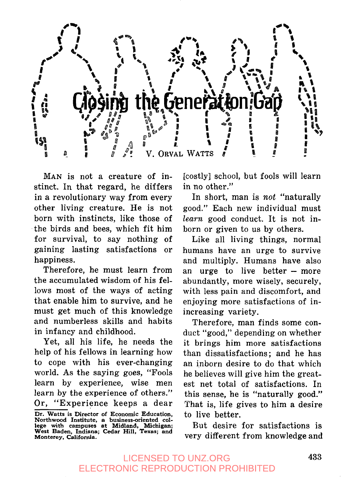

MAN is not a creature of instinct. In that regard, he differs in a revolutionary way from every other living creature. He is not born with instincts, like those of the birds and bees, which fit him for survival, to say nothing of gaining lasting satisfactions or happiness.

Therefore, he must learn from the accumulated wisdom of his fellows most of the ways of acting that enable him to survive, and he must get much of this knowledge and numberless skills and habits in infancy and childhood.

Yet, all his life, he needs the help of his fellows in learning how to cope with his ever-changing world. As the saying goes, "Fools learn by experience, wise men learn by the experience of others." Or, "Experience keeps a dear [costly] school, but fools will learn in no other."

In short, man is *not* "naturally good." Each new individual must *learn* good conduct. It is not inborn or given to us by others.

Like all living things, normal humans have an urge to survive and multiply. Humans have also an urge to live better - more abundantly, more wisely, securely, with less pain and discomfort, and enjoying more satisfactions of inincreasing variety.

Therefore, man finds some conduct "good," depending on whether it brings him more satisfactions than dissatisfactions; and he has an inborn desire to do that which he believes will give him the greatest net total of satisfactions. In this sense, he is "naturally good." That is, life gives to him a desire to live better.

But desire for satisfactions is very different from knowledge and

Dr. Watts is **Director of Economic Education, Northwood Institute, a business-oriented** col-lege **with campuses at** Midland, Michigan; **West Baden, Indiana; Cedar Hill, Texas; and Monterey,** California.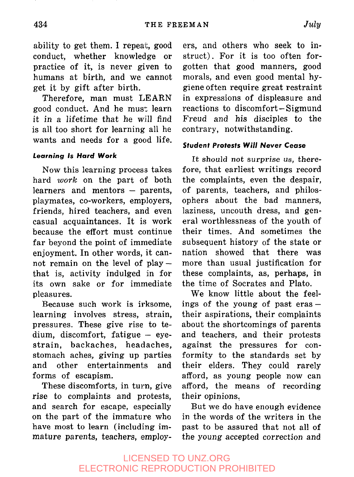ability to get them. I repeat, good conduct, whether knowledge or practice of it, is never given to humans at birth, and we cannot get it by gift after birth.

Therefore, man must LEARN good conduct. And he must learn it in a lifetime that he w:ill find is all too short for learning all he wants and needs for a good life.

#### **Learning Is Hard Work**

Now this learning process takes hard *work* on the part of both learners and mentors  $-$  parents, playmates, co-workers, employers, friends, hired teachers, and even casual acquaintances. It is work because the effort must continue far beyond the point of immediate enjoyment. In other words, it cannot remain on the level of playthat is, activity indulged in for its own sake or for immediate pleasures.

Because such work is irksome, learning involves stress, strain, pressures. These give rise to tedium, discomfort, fatigue  $-$  eyestrain, backaches, headaches, stomach aches, giving up parties and other entertainments and forms of escapism.

These discomforts, in turn, give rise to complaints and protests, and search for escape, especially on the part of the immature who have most to learn (including immature parents, teachers, employ-

ers, and others who seek to instruct). For it is too often forgotten that good manners, good morals, and even good mental hygiene often require great restraint in expressions of displeasure and reactions to discomfort-Sigmund Freud and his disciples to the contrary, notwithstanding.

#### **Student Protests Will Never Cease**

It should *not* surprise us, therefore, that earliest writings record the complaints, even the despair, of parents, teachers, and philosophers about the bad manners, laziness, uncouth dress, and general worthlessness of the youth of their times. And sometimes the subsequent history of the state or nation showed that there was more than usual justification for these complaints, as, perhaps, in the time of Socrates and Plato.

We know little about the feelings of the young of past  $eras$ their aspirations, their complaints about the shortcomings of parents and teachers, and their protests against the pressures for conformity to the standards set by their elders. They could rarely afford, as young people now can afford, the means of recording their opinions.

But we do have enough evidence in the words of the writers in the past to be assured that not all of the young accepted correction and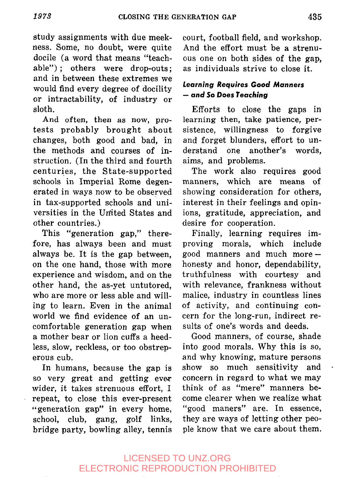study assignments with due meekness. Some, no doubt, were quite docile (a word that means "teachable"); others were drop-outs; and in between these extremes we would find every degree of docility or intractability, of industry or sloth.

And often, then as now, protests probably brought about changes, both good and bad, in the methods and courses of instruction. (In the third and fourth centuries, the State-supported schools in Imperial Rome degenerated in ways now to be observed in tax-supported schools and universities in the United States and other countries.)

This "generation gap," therefore, has always been and must always be. It is the gap between, on the one hand, those with more experience and wisdom, and on the other hand, the as-yet untutored, who are more or less able and willing to learn. Even in the animal world we find evidence of an uncomfortable generation gap when a mother bear or lion cuffs a heedless, slow, reckless, or too obstreperous cub.

In humans, because the gap is so very great and getting ever wider, it takes strenuous effort, I repeat, to close this ever-present "generation gap" in every home. school, club, gang, golf links, bridge party, bowling alley, tennis court, football field, and workshop. And the effort must be a strenuous one on both sides of the gap, as individuals strive to close it.

## **Learning Requires Good Manners -- and So Does Teaching**

Efforts to close the gaps in learning then, take patience, persistence, willingness to forgive and forget blunders, effort to understand one another's words, aims, and problems.

The work also requires good manners, which are means of showing consideration for others, interest in their feelings and opinions, gratitude, appreciation, and desire for cooperation.

Finally, learning requires improving morals, which include good manners and much morehonesty and honor, dependability, truthfulness with courtesy and with relevance, frankness without malice, industry in countless lines of activity, and continuing concern for the long-run, indirect results of one's words and deeds.

Good manners, of course, shade into good morals. Why this is so, and why knowing, mature persons show so much sensitivity and concern in regard to what we may think of as "mere" manners become clearer when we realize what "good maners" are. In essence, they are ways of letting other people know that we care about them.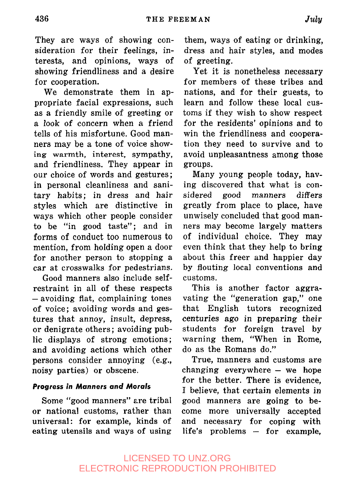They are ways of showing consideration for their feelings, interests, and opinions, ways of showing friendliness and a desire for cooperation.

We demonstrate them in appropriate facial expressions, such as a friendly smile of greeting or a look of concern when a friend tells of his misfortune. Good manners may be a tone of voice showing warmth, interest, sympathy, and friendliness. They appear in our choice of words and gestures; in personal cleanliness and sanitary habits; in dress and hair styles which are distinctive in ways which other people consider to be "in good taste"; and in forms of conduct too numerous to mention, from holding open a door for another person to stopping a car at crosswalks for pedestrians.

Good manners also include selfrestraint in all of these respects -avoiding fiat, complaining tones of voice; avoiding words and gestures that annoy, insult, depress, or denigrate others ; avoiding public displays of strong emotions; and avoiding actions which other persons consider annoying (e.g., noisy parties) or obscene.

#### **Progress in Manners and Morals**

Some "good manners" are tribal or national customs, rather than universal: for example, kinds of eating utensils and ways of using

them, ways of eating or drinking, dress and hair styles, and modes of greeting.

Yet it is nonetheless necessary for members of these tribes and nations, and for their guests, to learn and follow these local customs if they wish to show respect for the residents' opinions and to win the friendliness and cooperation they need to survive and to avoid unpleasantness among those groups.

Many young people today, having discovered that what is considered good manners differs greatly from place to place, have unwisely concluded that good manners may become largely matters of individual choice. They may even think that they help to bring about this freer and happier day by flouting local conventions and customs.

This is another factor aggravating the "generation gap," one that English tutors recognized centuries ago in preparing their students for foreign travel by warning them, "When in Rome, do as the Romans do."

True, manners and customs are changing everywhere  $-$  we hope for the better. There is evidence, I believe, that certain elements in good manners are going to become more universally accepted and necessary for coping with  $life's$  problems  $-$  for example.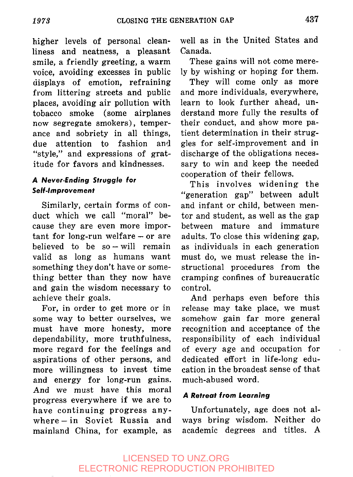higher levels of personal cleanliness and neatness, a pleasant smile, a friendly greeting, a warm voice, avoiding excesses in public displays of emotion, refraining from littering streets and public places, avoiding air pollution with tobacco smoke (some airplanes now segregate smokers), temperance and sobriety in all things, due attention to fashion and "style," and expressions of gratitude for favors and kindnesses.

## **A Never-Ending Struggle for Self-Improvement**

Similarly, certain forms of conduct which we call "moral" because they are even more important for long-run welfare- or are believed to be  $so - will$  remain valid as long as humans want something they don't have or something better than they now have and gain the wisdom necessary to achieve their goals.

For, in order to get more or in some way to better ourselves, we must have more honesty, more dependability, more truthfulness, more regard for the feelings and aspirations of other persons, and more willingness to invest time and energy for long-run gains. And we must have this moral progress everywhere if we are to have continuing progress anywhere-in Soviet Russia and mainland China, for example, as well as in the United States and Canada.

These gains will not come merely by wishing or hoping for them.

They will come only as more and more individuals, everywhere, learn to look further ahead, understand more fully the results of their conduct, and show more patient determination in their struggles for self-improvement and in discharge of the obligations necessary to win and keep the needed cooperation of their fellows.

This involves widening the "generation gap" between adult and infant or child, between mentor and student, as well as the gap between mature and immature adults. To close this widening gap, as individuals in each generation must do, we must release the instructional procedures from the cramping confines of bureaucratic control.

And perhaps even before this release may take place, we must somehow gain far more general recognition and acceptance of the responsibility of each individual of every age and occupation for dedicated effort in life-long education in the broadest sense of that much-abused word.

#### **A Retreat from Learning**

Unfortunately, age does not always bring wisdom. Neither do academic degrees and titles. A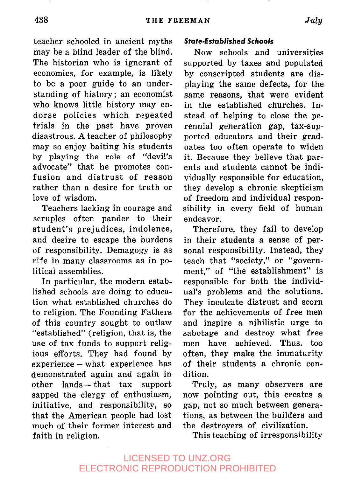teacher schooled in ancient myths may be a blind leader of the blind. The historian who is igncrant of economics, for example, is likely to be a poor guide to an understanding of history; an economist who knows little history may endorse policies which repeated trials in the past have proven disastrous. A teacher of philosophy may so enjoy baiting his students by playing the role of "devil's advocate" that he promotes confusion and distrust of reason rather than a desire for truth or love of wisdom.

Teachers lacking in courage and scruples often pander to their student's prejudices, indolence, and desire to escape the burdens of responsibility. Demagogy is as rife in many classrooms as in political assemblies.

In particular, the modern established schools are doing to education what established churches do to religion. The Founding Fathers of this country sought to outlaw "established" (religion, that is, the use of tax funds to support religious efforts. They had found by experience-what experience has demonstrated again and again in other lands-that tax support sapped the clergy of enthusiasm, initiative, and responsibility, so that the American people had lost much of their former interest and faith in religion.

## **State-Established Schools**

Now schools and universities supported by taxes and populated by conscripted students are displaying the same defects, for the same reasons, that were evident in the established churches. Instead of helping to close the perennial generation gap, tax-supported educators and their graduates too often operate to widen it. Because they believe that parents and students cannot be individually responsible for education, they develop a chronic skepticism of freedom and individual responsibility in every field of human endeavor.

Therefore, they fail to develop in their students a sense of personal responsibility. Instead, they teach that "society," or "government," of "the establishment" is responsible for both the individual's problems and the solutions. They inculcate distrust and scorn for the achievements of free men and inspire a nihilistic urge to sabotage and destroy what free men have achieved. Thus. too often, they make the immaturity of their students a chronic condition.

Truly, as many observers are now pointing out, this creates a gap, not so much between generations, as between the builders and the destroyers of civilization.

This teaching of irresponsibility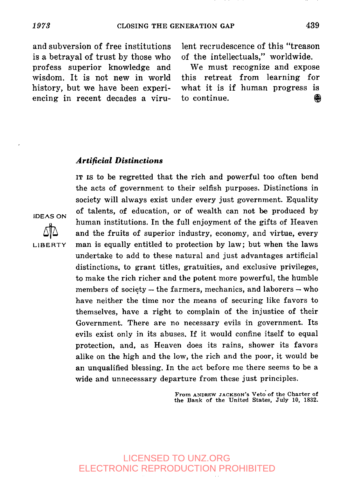and subversion of free institutions is a betrayal of trust by those who profess superior knowledge and wisdom. It is not new in world history, but we have been experiencing in recent decades a viru-

lent recrudescence of this "treason of the intellectuals," worldwide.

We must recognize and expose this retreat from learning for what it is if human progress is to continue.  $\qquad \qquad \qquad \qquad \qquad \qquad \qquad \qquad \qquad$ 

#### *Artificial Distinctions*

IT IS to be regretted that the rich and powerful too often bend the acts of government to their selfish purposes. Distinctions in society will always exist under every just government. Equality of talents, of education, or of wealth can not be, produced by human institutions. In the full enjoyment of the gifts of Heaven and the fruits of superior industry, economy, and virtue, every man is equally entitled to protection by law; but when the laws undertake to add to these natural and just advantages artificial distinctions, to grant titles, gratuities, and exclusive privileges, to make the rich richer and the potent more powerful, the humble members of society  $-$  the farmers, mechanics, and laborers  $-$  who have neither the time nor the means of securing like favors to themselves, have a right to complain of the injustice of their Government. There are no necessary evils in government. Its evils exist only in its abuses. If it would confine itself to equal protection, and, as Heaven does its rains, shower its favors alike on the high and the low, the rich and the poor, it would be an unqualified blessing. In the act before me there seems to be a wide and unnecessary departure from these just principles.

> From ANDREW JACKSON's Veto of the Charter of **the** Bank of the United States, July I0, 1832.